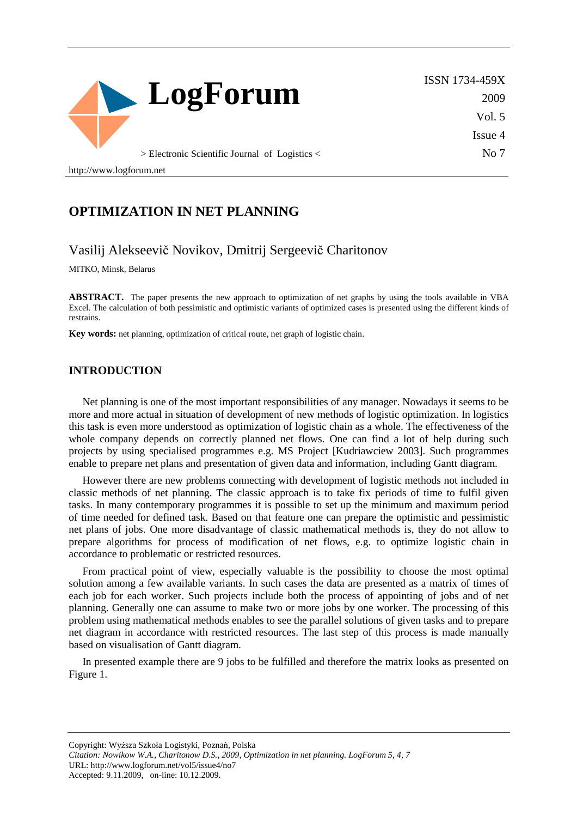

ISSN 1734-459X 2009 Vol. 5 Issue 4 No 7

> Electronic Scientific Journal of Logistics <

http://www.logforum.net

### **OPTIMIZATION IN NET PLANNING**

### Vasilij Alekseevič Novikov, Dmitrij Sergeevič Charitonov

MITKO, Minsk, Belarus

**ABSTRACT.** The paper presents the new approach to optimization of net graphs by using the tools available in VBA Excel. The calculation of both pessimistic and optimistic variants of optimized cases is presented using the different kinds of restrains.

**Key words:** net planning, optimization of critical route, net graph of logistic chain.

#### **INTRODUCTION**

Net planning is one of the most important responsibilities of any manager. Nowadays it seems to be more and more actual in situation of development of new methods of logistic optimization. In logistics this task is even more understood as optimization of logistic chain as a whole. The effectiveness of the whole company depends on correctly planned net flows. One can find a lot of help during such projects by using specialised programmes e.g. MS Project [Kudriawciew 2003]. Such programmes enable to prepare net plans and presentation of given data and information, including Gantt diagram.

However there are new problems connecting with development of logistic methods not included in classic methods of net planning. The classic approach is to take fix periods of time to fulfil given tasks. In many contemporary programmes it is possible to set up the minimum and maximum period of time needed for defined task. Based on that feature one can prepare the optimistic and pessimistic net plans of jobs. One more disadvantage of classic mathematical methods is, they do not allow to prepare algorithms for process of modification of net flows, e.g. to optimize logistic chain in accordance to problematic or restricted resources.

From practical point of view, especially valuable is the possibility to choose the most optimal solution among a few available variants. In such cases the data are presented as a matrix of times of each job for each worker. Such projects include both the process of appointing of jobs and of net planning. Generally one can assume to make two or more jobs by one worker. The processing of this problem using mathematical methods enables to see the parallel solutions of given tasks and to prepare net diagram in accordance with restricted resources. The last step of this process is made manually based on visualisation of Gantt diagram.

In presented example there are 9 jobs to be fulfilled and therefore the matrix looks as presented on Figure 1.

Copyright: Wyższa Szkoła Logistyki, Poznań, Polska *Citation: Nowikow W.A., Charitonow D.S., 2009, Optimization in net planning. LogForum 5, 4, 7*  URL: http://www.logforum.net/vol5/issue4/no7 Accepted: 9.11.2009, on-line: 10.12.2009.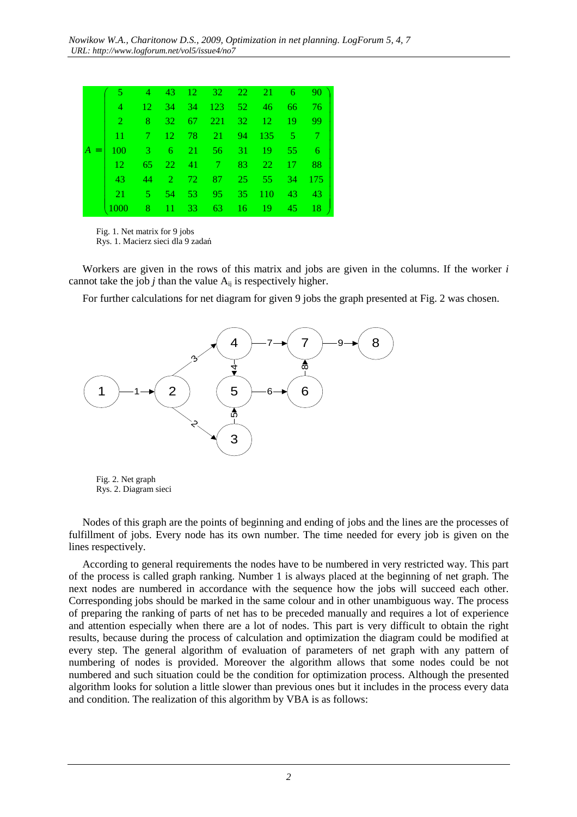| $\bullet$                                                |  | 4 43 12 32 22 21 6 90    |  |               |
|----------------------------------------------------------|--|--------------------------|--|---------------|
| $\overline{4}$                                           |  | 12 34 34 123 52 46 66 76 |  |               |
| $\sqrt{2}$                                               |  | 8 32 67 221 32 12 19 99  |  |               |
| $11 -$                                                   |  | 7 12 78 21 94 135 5 7    |  |               |
| $A =   100 \t 3 \t 6 \t 21 \t 56 \t 31 \t 19 \t 55 \t 6$ |  |                          |  |               |
| $\overline{12}$                                          |  | 65 22 41 7 83 22 17 88   |  |               |
| 43                                                       |  | 44 2 72 87 25 55 34 175  |  |               |
| 21                                                       |  | 5 54 53 95 35 110 43 43  |  |               |
| 1000-                                                    |  | 8 11 33 63 16 19 45      |  | <sup>18</sup> |
|                                                          |  |                          |  |               |

 Fig. 1. Net matrix for 9 jobs Rys. 1. Macierz sieci dla 9 zadań

Workers are given in the rows of this matrix and jobs are given in the columns. If the worker *i*  cannot take the job  $j$  than the value  $A_{ii}$  is respectively higher.

For further calculations for net diagram for given 9 jobs the graph presented at Fig. 2 was chosen.



 Fig. 2. Net graph Rys. 2. Diagram sieci

Nodes of this graph are the points of beginning and ending of jobs and the lines are the processes of fulfillment of jobs. Every node has its own number. The time needed for every job is given on the lines respectively.

According to general requirements the nodes have to be numbered in very restricted way. This part of the process is called graph ranking. Number 1 is always placed at the beginning of net graph. The next nodes are numbered in accordance with the sequence how the jobs will succeed each other. Corresponding jobs should be marked in the same colour and in other unambiguous way. The process of preparing the ranking of parts of net has to be preceded manually and requires a lot of experience and attention especially when there are a lot of nodes. This part is very difficult to obtain the right results, because during the process of calculation and optimization the diagram could be modified at every step. The general algorithm of evaluation of parameters of net graph with any pattern of numbering of nodes is provided. Moreover the algorithm allows that some nodes could be not numbered and such situation could be the condition for optimization process. Although the presented algorithm looks for solution a little slower than previous ones but it includes in the process every data and condition. The realization of this algorithm by VBA is as follows: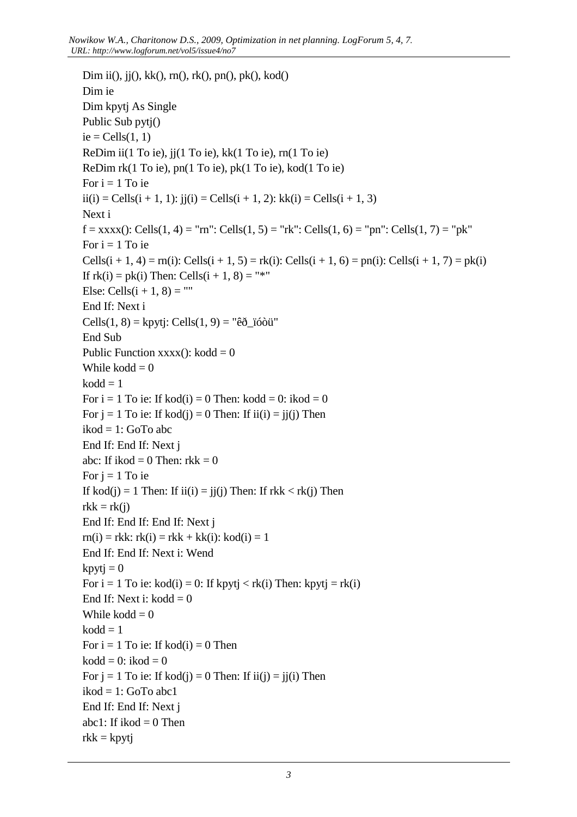```
Dim ii(), jj(), kk(), rn(), rk(), pn(), pk(), kod()
Dim ie 
Dim kpytj As Single 
Public Sub pytj() 
ie = Cells(1, 1)ReDim ii(1 To ie), jj(1 To ie), kk(1 To ie), rn(1 To ie) 
ReDim rk(1 To ie), pn(1 To ie), pk(1 To ie), kod(1 To ie) 
For i = 1 To ie
ii(i) = Cells(i + 1, 1): ii(i) = Cells(i + 1, 2): kk(i) = Cells(i + 1, 3)
Next i 
f = xxxx(): Cells(1, 4) = "rn": Cells(1, 5) = "rk": Cells(1, 6) = "pn": Cells(1, 7) = "pk"
For i = 1 To ie
Cells(i + 1, 4) = rn(i): Cells(i + 1, 5) = rk(i): Cells(i + 1, 6) = pn(i): Cells(i + 1, 7) = pk(i)
If rk(i) = pk(i) Then: Cells(i + 1, 8) ="*"
Else: Cells(i + 1, 8) =""
End If: Next i 
Cells(1, 8) = kpytj: Cells(1, 9) = "êð_ïóòü"
End Sub 
Public Function xxxx(x): kodd = 0While kodd = 0kodd = 1For i = 1 To ie: If kod(i) = 0 Then: kodd = 0: ikod = 0
For j = 1 To ie: If kod(j) = 0 Then: If ii(i) = ji(j) Then
ikod = 1: GoTo abc 
End If: End If: Next j 
abc: If ikod = 0 Then: rkk = 0For i = 1 To ie
If kod(j) = 1 Then: If ii(i) = jj(j) Then: If rkk < rk(j) Then
rkk = rk(i)End If: End If: End If: Next j 
rn(i) = rkk: rk(i) = rkk + kk(i): kod(i) = 1End If: End If: Next i: Wend 
kpytj = 0For i = 1 To ie: kod(i) = 0: If kpytj < rk(i) Then: kpytj = rk(i)End If: Next i: kodd = 0While kodd = 0kodd = 1For i = 1 To ie: If kod(i) = 0 Then
kodd = 0: ikod = 0
For j = 1 To ie: If kod(j) = 0 Then: If ii(j) = ji(i) Then
ikod = 1: GoTo abc1
End If: End If: Next j 
abc1: If ikod = 0 Then
rkk = kpytj
```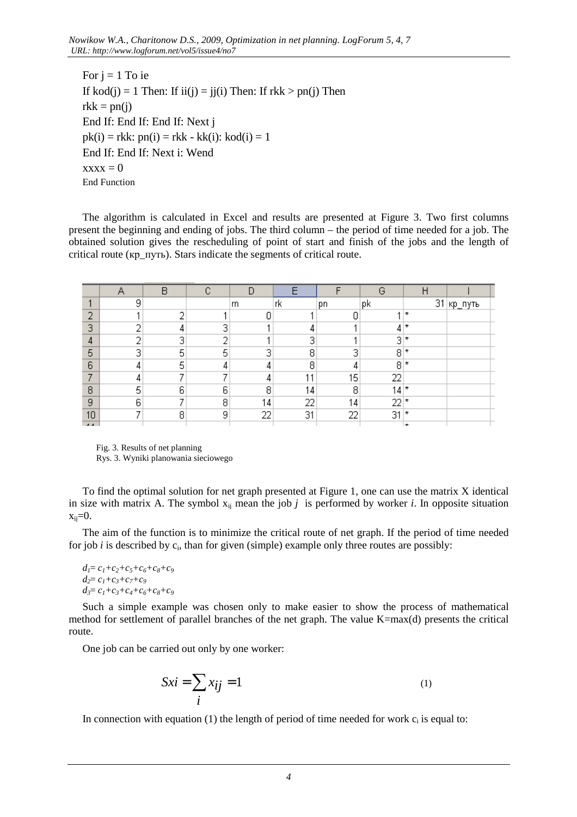For  $i = 1$  To ie If kod(j) = 1 Then: If ii(j) = jj(i) Then: If  $rkk > pn(i)$  Then  $rkk = pn(i)$ End If: End If: End If: Next j  $pk(i) = rkk$ :  $pn(i) = rkk - kk(i)$ :  $kod(i) = 1$ End If: End If: Next i: Wend  $xxxx = 0$ End Function

The algorithm is calculated in Excel and results are presented at Figure 3. Two first columns present the beginning and ending of jobs. The third column – the period of time needed for a job. The obtained solution gives the rescheduling of point of start and finish of the jobs and the length of critical route (кр\_путь). Stars indicate the segments of critical route.

|                |              | R |   |     |     |    | G  |          |         |  |
|----------------|--------------|---|---|-----|-----|----|----|----------|---------|--|
|                | 9            |   |   | lm. | rk  | рn | pk | 31       | кр_путь |  |
| o              |              | o |   |     |     | Θ  |    | ÷        |         |  |
| 3              | o            | 4 | З |     |     |    | 4  | ÷        |         |  |
| 4              | o            | 3 | o |     | 3   |    | 3  | ÷        |         |  |
| 5              | 3            | 5 | 5 | 3   | 8   | э  | 8  | ÷.       |         |  |
| 6              | 4            | 5 |   |     | 8   |    | 8  | ¥.       |         |  |
| ᠇              | 4            | ᅮ |   |     | 4.4 | 15 | 22 |          |         |  |
| 8              | 5            | 6 | 6 | 8   | 14  | 8  | 14 | ÷        |         |  |
| 9              | 6            | ᅮ | 8 | 14  | 22  | 14 | 22 | *        |         |  |
| 10             | $\mathbf{r}$ | 8 | 9 | 22  | 31  | 22 | 31 | ÷        |         |  |
| $\overline{A}$ |              |   |   |     |     |    |    | <b>+</b> |         |  |

 Fig. 3. Results of net planning Rys. 3. Wyniki planowania sieciowego

To find the optimal solution for net graph presented at Figure 1, one can use the matrix X identical in size with matrix A. The symbol  $x_{ij}$  mean the job  $j$  is performed by worker  $i$ . In opposite situation  $x_{ii} = 0$ .

The aim of the function is to minimize the critical route of net graph. If the period of time needed for job  $i$  is described by  $c_i$ , than for given (simple) example only three routes are possibly:

```
d_1 = c_1 + c_2 + c_5 + c_6 + c_8 + c_9d_2 = c_1 + c_3 + c_7 + c_9d_3 = c_1 + c_3 + c_4 + c_6 + c_8 + c_9
```
Such a simple example was chosen only to make easier to show the process of mathematical method for settlement of parallel branches of the net graph. The value K=max(d) presents the critical route.

One job can be carried out only by one worker:

$$
Sxi = \sum_{i} x_{ij} = 1
$$
 (1)

In connection with equation  $(1)$  the length of period of time needed for work  $c_i$  is equal to: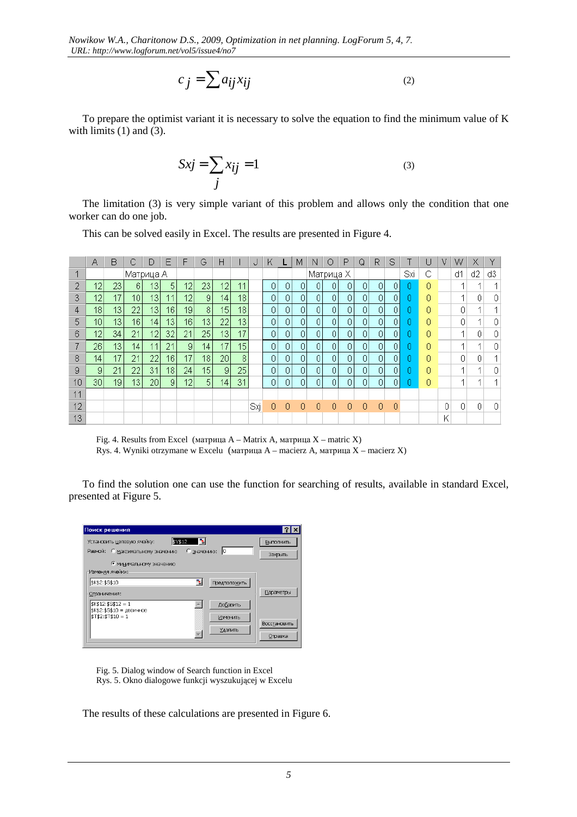$$
c_j = \sum a_{ij} x_{ij}
$$
 (2)

To prepare the optimist variant it is necessary to solve the equation to find the minimum value of K with limits  $(1)$  and  $(3)$ .

$$
Sxi = \sum_{j} x_{ij} = 1
$$
 (3)

The limitation (3) is very simple variant of this problem and allows only the condition that one worker can do one job.

This can be solved easily in Excel. The results are presented in Figure 4.

|    | Α               | B               |           | D               | E               | F               | G               | Н                |    | Ω   | ĸ |    | М | Ν         | O | P | Q  | R  | S  |     | U | ٧ | w  | Х  |    |
|----|-----------------|-----------------|-----------|-----------------|-----------------|-----------------|-----------------|------------------|----|-----|---|----|---|-----------|---|---|----|----|----|-----|---|---|----|----|----|
|    |                 |                 | Матрица А |                 |                 |                 |                 |                  |    |     |   |    |   | Матрица Х |   |   |    |    |    | Sxi | С |   | d1 | d2 | d3 |
| Ω  | 12              | 23 <sub>1</sub> | 6         | 13              | 5 <sup>1</sup>  | 2               | 23              | 12               | 11 |     | 0 | 0  | 0 |           |   | 0 | 0. | 0. | ΩI |     | 0 |   |    |    |    |
| 3  | 12              | 17              | 10        | 13              | 44              | 12              | 9               | 14 <sub>1</sub>  | 18 |     | 0 | 0  | 0 | 0         | 0 | 0 | 0  | 0  | 0  |     | 0 |   |    |    | 0  |
| 4  | 18 <sub>1</sub> | 13              | 22        | 13              | 16 <sup>1</sup> | 19              | 8               | 15 <sub>15</sub> | 18 |     | 0 | 0  | 0 | 0         | 0 | 0 | 0  | 01 | 0  |     | 0 |   | 0  |    |    |
| 5  | 10 <sub>1</sub> | 13 <sup>1</sup> | 16        | 14 <sub>1</sub> | 13              | 16 <sub>1</sub> | 13 <sup>°</sup> | 22               | 13 |     | 0 | 0  | 0 |           | 0 | 0 | 0  | 0  | 0  |     | 0 |   | 0  |    | 0  |
| 6  | 12              | 34              | 21        | 12              | 32              | 21              | 25              | 13               | 17 |     | 0 |    | 0 | 0         | 0 | 0 | 0  | 0  | 0  |     | 0 |   |    |    | 0  |
|    | 26 <sub>1</sub> | 13 <sup>1</sup> | 14.       | 11              | 21              | 9               | 14              | 17               | 15 |     | 0 | 0  | 0 | 0         | 0 | 0 | 0  | 0  | 0  |     | 0 |   |    |    | 0  |
| 8  | 14.             | 17              | 21        | 22              | 161             | 17              | 18              | 20               | 8  |     | 0 | 0. | 0 |           | 0 | 0 | 0  | 0  | 0  |     | 0 |   | 0  |    |    |
| 9  | 9               | 21              | 22        | 31              | 18              | 24              | 15              | 9                | 25 |     | 0 | n  | 0 |           | n | 0 | 0  | 0  | 0  |     | 0 |   |    |    | 0. |
| 10 | 30 <sup>1</sup> | 19              | 13        | 20              | $\overline{9}$  | 12              | 5               | 14               | 31 |     | 0 | 0  | 0 | 0         | 0 | 0 | 0  | 0  | 0  |     | 0 |   |    |    |    |
| 11 |                 |                 |           |                 |                 |                 |                 |                  |    |     |   |    |   |           |   |   |    |    |    |     |   |   |    |    |    |
| 12 |                 |                 |           |                 |                 |                 |                 |                  |    | Sxj | 0 | 0  | 0 |           | 0 | 0 | 0  | 0  | 0  |     |   | Ω | n  |    | 0  |
| 13 |                 |                 |           |                 |                 |                 |                 |                  |    |     |   |    |   |           |   |   |    |    |    |     |   | K |    |    |    |

 Fig. 4. Results from Excel (матрица A – Matrix A, матрица X – matric X) Rys. 4. Wyniki otrzymane w Excelu (матрица A – macierz A, матрица X – macierz X)

To find the solution one can use the function for searching of results, available in standard Excel, presented at Figure 5.

| Поиск решения                                                                                                                                                                          | <b>?IX</b>                                  |
|----------------------------------------------------------------------------------------------------------------------------------------------------------------------------------------|---------------------------------------------|
| B.<br>\$V\$12<br>Установить целевую ячейку:<br>ю<br>Равной: С максимальному значению<br>С значению:<br>• минимальному значению                                                         | Выполнить<br>Закрыть                        |
| Изменяя ячейки:<br>ъ,<br>\$K\$2:\$S\$10<br>Предположить<br>Ограничения:<br>$$K$12: $S$12 = 1$<br>Добавить<br>\$K\$2:\$S\$10 = двоичное<br>m<br>$$T$2:$T$10 = 1$<br>Изменить<br>Удалить | <b>Параметры</b><br>Восстановить<br>Справка |

Fig. 5. Dialog window of Search function in Excel Rys. 5. Okno dialogowe funkcji wyszukującej w Excelu

The results of these calculations are presented in Figure 6.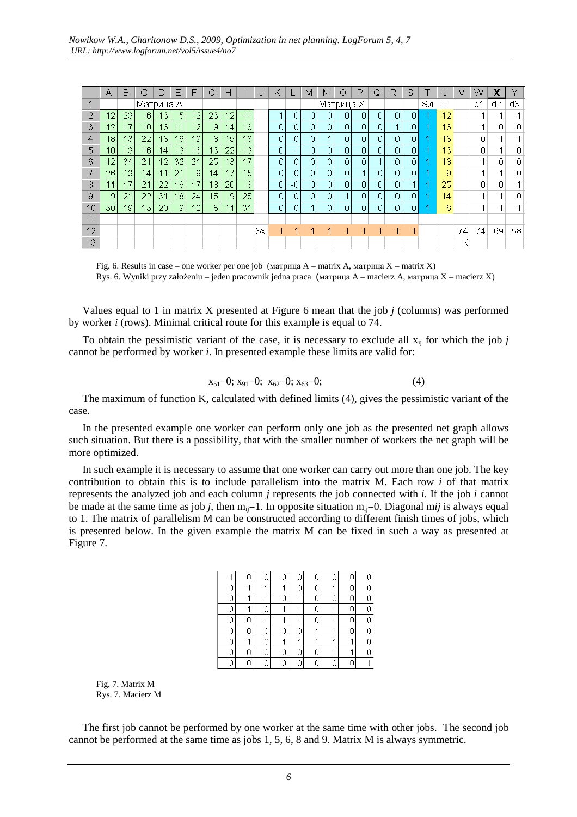|    | А  | B               |                 |     | F               | F  | G  | Н               |    |     | ĸ              |                | М  | N              | ◠        | P | Q              | R  | S   |   |                 | v  | w  | X  |    |
|----|----|-----------------|-----------------|-----|-----------------|----|----|-----------------|----|-----|----------------|----------------|----|----------------|----------|---|----------------|----|-----|---|-----------------|----|----|----|----|
|    |    |                 | Матрица А       |     |                 |    |    |                 |    |     |                |                |    | Матрица Х      |          |   |                |    | Sxi | С |                 | d1 | d2 | d3 |    |
| 2  | 12 | 231             | 6               | 13. | 5               | 12 | 23 | 12              | 11 |     |                | 0              | 0  | 0.             | $\Omega$ | 0 | 0              | 0  | 0   |   | 12 <sup>°</sup> |    |    |    |    |
| 3  | 12 | 7               | 10 <sub>1</sub> | 13  | 11              | 12 | 9  | 14              | 18 |     | 0              | 0              | 0  | $\overline{0}$ | 0        | 0 | 0              |    | 0   |   | 13              |    |    |    |    |
| 4  | 18 | 13 <sub>1</sub> | 22              | 13  | 16              | 19 | 8  | 15              | 18 |     | 0              | 0              | 0  |                | $\Omega$ | 0 | 0              | ∩  | 0   |   | 13              |    | Ω  |    |    |
| 5  | 10 | 13              | 16              | 14  | 13              | 16 | 13 | 22              | 13 |     | $\overline{0}$ |                | 0  | 0              | 0        | 0 | 0              | Ū  | 0   |   | 13              |    | 0  |    | 0  |
| 6  | 12 | 34              | 21              | 12  | 32              | 21 | 25 | 13              | 17 |     | 0              | 0              | 0  | 0              | $\Omega$ | 0 |                | n. | 0   |   | 18              |    | и  |    | 0  |
|    | 26 | 13 <sub>1</sub> | 14 <sub>1</sub> | 44  | 21              | 9  | 14 | 17              | 15 |     | 0              | $\overline{0}$ | 0. | 0              | $\Omega$ | и | 0              | n  | 0   |   | 9               |    |    |    | 0  |
| 8  | 14 | 17              | 21              | 22  | 16 <sub>1</sub> | 17 | 18 | 20              | 8  |     | 0              | -0             | 0  | 0              | 0        | 0 | 0              |    |     |   | 25              |    | 0  |    |    |
| 9  | 9  | 21              | 22              | 31  | 18              | 24 | 15 | 9               | 25 |     | $\Omega$       | 0              | 0  | $\overline{0}$ |          | 0 | $\overline{0}$ | n  | 0   |   | 14              |    | и  |    | 0  |
| 10 | 30 | 191             | 13 <sub>1</sub> | 20  | 9               | 12 | 5  | 14 <sub>1</sub> | 31 |     | $\overline{0}$ | 0              | и  | 0.             | $\Omega$ | 0 | 0              | Ū  | 0   |   | 8               |    |    |    |    |
| 11 |    |                 |                 |     |                 |    |    |                 |    |     |                |                |    |                |          |   |                |    |     |   |                 |    |    |    |    |
| 12 |    |                 |                 |     |                 |    |    |                 |    | Sxj |                |                |    |                |          |   |                |    | -1  |   |                 | 74 | 74 | 69 | 58 |
| 13 |    |                 |                 |     |                 |    |    |                 |    |     |                |                |    |                |          |   |                |    |     |   |                 | K  |    |    |    |

Fig. 6. Results in case – one worker per one job (матрица  $A$  – matrix A, матрица  $X$  – matrix X) Rys. 6. Wyniki przy założeniu – jeden pracownik jedna praca (матрица A – macierz A, матрица X – macierz X)

Values equal to 1 in matrix X presented at Figure 6 mean that the job *j* (columns) was performed by worker *i* (rows). Minimal critical route for this example is equal to 74.

To obtain the pessimistic variant of the case, it is necessary to exclude all  $x_{ii}$  for which the job *j* cannot be performed by worker *i*. In presented example these limits are valid for:

$$
x_{51}=0; x_{91}=0; x_{62}=0; x_{63}=0; \tag{4}
$$

The maximum of function K, calculated with defined limits (4), gives the pessimistic variant of the case.

In the presented example one worker can perform only one job as the presented net graph allows such situation. But there is a possibility, that with the smaller number of workers the net graph will be more optimized.

In such example it is necessary to assume that one worker can carry out more than one job. The key contribution to obtain this is to include parallelism into the matrix M. Each row *i* of that matrix represents the analyzed job and each column *j* represents the job connected with *i*. If the job *i* cannot be made at the same time as job *j*, then  $m_{ii}=1$ . In opposite situation  $m_{ii}=0$ . Diagonal m*ij* is always equal to 1. The matrix of parallelism M can be constructed according to different finish times of jobs, which is presented below. In the given example the matrix M can be fixed in such a way as presented at Figure 7.

|   |   |   |   |   |   | 0 |
|---|---|---|---|---|---|---|
| и |   | 4 |   |   |   | 0 |
| 4 |   |   |   | Ñ |   | 0 |
| 4 | N | 4 |   |   | 4 | 0 |
|   |   |   |   |   |   | 0 |
|   | N |   | Π |   |   | 0 |
| 4 |   | 4 |   |   |   | 0 |
|   |   |   |   |   |   | 0 |
|   |   |   |   |   |   | 4 |

Fig. 7. Matrix M Rys. 7. Macierz M

The first job cannot be performed by one worker at the same time with other jobs. The second job cannot be performed at the same time as jobs 1, 5, 6, 8 and 9. Matrix M is always symmetric.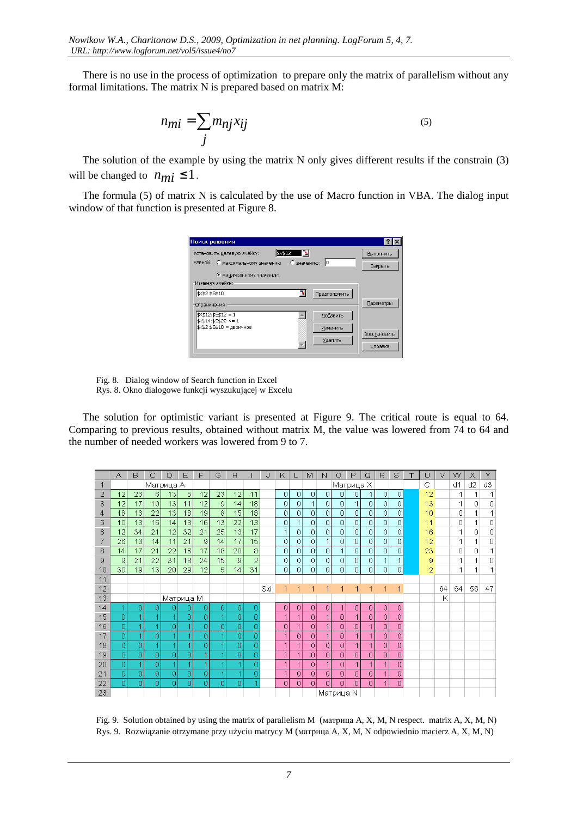There is no use in the process of optimization to prepare only the matrix of parallelism without any formal limitations. The matrix N is prepared based on matrix M:

$$
n_{mi} = \sum_{j} m_{nj} x_{ij}
$$
 (5)

The solution of the example by using the matrix N only gives different results if the constrain (3) will be changed to  $n_{mi} \leq 1$ .

The formula (5) of matrix N is calculated by the use of Macro function in VBA. The dialog input window of that function is presented at Figure 8.

| Поиск решения                                                                                                              | Ι×                      |
|----------------------------------------------------------------------------------------------------------------------------|-------------------------|
| \$V\$12<br>Установить целевую ячейку:<br>lo.<br>С значению:<br>Равной: С максимальному значению<br>• минимальному значению | Выполнить<br>Закрыть    |
| Изменяя ячейки:<br>$\mathbf{x}_i$<br>\$K\$2:\$S\$10<br>Предположить<br>Ограничения:                                        | Параметры               |
| $$K$12: $S$12 = 1$<br>Добавить<br>$$K$14: $S$22 \le 1$<br>\$K\$2:\$S\$10 = двоичное<br>Изменить<br>Удалить                 | Восстановить<br>Справка |

Fig. 8. Dialog window of Search function in Excel Rys. 8. Okno dialogowe funkcji wyszukującej w Excelu

The solution for optimistic variant is presented at Figure 9. The critical route is equal to 64. Comparing to previous results, obtained without matrix M, the value was lowered from 74 to 64 and the number of needed workers was lowered from 9 to 7.

|                | А  | B   | C  | D         | Ε  | F  | G  | Н              |                | J   | Κ              | L        | M | N              | О              | P         | Q              | R  | S           | т | U  | ν  | w  | X  | Y  |
|----------------|----|-----|----|-----------|----|----|----|----------------|----------------|-----|----------------|----------|---|----------------|----------------|-----------|----------------|----|-------------|---|----|----|----|----|----|
| 1              |    |     |    | Матрица А |    |    |    |                |                |     |                |          |   |                |                | Матрица Х |                |    |             |   | С  |    | d1 | d2 | d3 |
| 2              | 12 | 23. | 6  | 13        | 5  | 12 | 23 | 12             | 11             |     | $\circ$        | 0.       | 0 | 0              | 0              | 0         |                | 0  | 0           |   | 12 |    |    |    | 1  |
| 3              | 12 | 17  | 10 | 13        | 11 | 12 | 9  | 14             | 18             |     | 0              | 0        | 1 | 0              | 0              | 1         | 0              | 0  | 0           |   | 13 |    |    | 0  | 0  |
| $\overline{4}$ | 18 | 13  | 22 | 13        | 16 | 19 | 8  | 15             | 18             |     | $\overline{0}$ | 0        | 0 | 0              | 0              | 0         | 0              | 0  | 0           |   | 10 |    | 0  | 1  | 1  |
| 5              | 10 | 13  | 16 | 14        | 13 | 16 | 13 | 22             | 13             |     | $\overline{0}$ |          | 0 | 0              | 0              | 0         | 0              | 0  | 0           |   | 11 |    | 0  |    | 0  |
| 6              | 12 | 34  | 21 | 12        | 32 | 21 | 25 | 13             | 17             |     | 1              | 0        | 0 | 0              | $\overline{0}$ | 0         | 0              | 0  | 0           |   | 16 |    | 1  | 0  | 0  |
| 7              | 26 | 13  | 14 | 11        | 21 | 9  | 14 | 17             | 15             |     | $\overline{0}$ | $\theta$ | 0 | 1              | 0              | 0         | 0              | 0  | 0           |   | 12 |    | 1  | 1  | 0  |
| 8              | 14 | 17  | 21 | 22        | 16 | 17 | 18 | 20             | 8              |     | $\overline{0}$ | $\theta$ | 0 | 0              | 1              | 0         | 0              | 0  | 0           |   | 23 |    | 0  | 0  | 1  |
| 9              | 9  | 21  | 22 | 31        | 18 | 24 | 15 | $\overline{9}$ | $\overline{2}$ |     | 0              | 0        | 0 | 0              | 0              | 0         | 0              | 1  | 1           |   | 9  |    | 1  | 1  | 0  |
| 10             | 30 | 19  | 13 | 20        | 29 | 12 | 5  | 14             | 31             |     | 0              | 0        | 0 | Ō              | 0              | 0         | 0              | 0  | 0           |   | 2  |    | 1  | 4  | 1  |
| 11             |    |     |    |           |    |    |    |                |                |     |                |          |   |                |                |           |                |    |             |   |    |    |    |    |    |
| 12             |    |     |    |           |    |    |    |                |                | Sxi | 1              |          | 1 | 1              | 1              | 1         | 1              | 1  | $\mathbf 1$ |   |    | 64 | 64 | 56 | 47 |
| 13             |    |     |    | Матрица М |    |    |    |                |                |     |                |          |   |                |                |           |                |    |             |   |    | K  |    |    |    |
| 14             |    | 0   | 0  | 0         | 0  | 0  | 0  | 0              | 0              |     | 0              | 0        | 0 | 0              | 1              | 0         | 0              | οI | 0           |   |    |    |    |    |    |
| 15             | 0  |     | 4  | -1        | 0  | 0  |    | 0              | 0              |     | $\overline{1}$ |          | 0 | 1              | 0              | 1         | 0              | 0  | 0           |   |    |    |    |    |    |
| 16             | 0  |     |    | 0         |    | 0  | 0  | 0              | 0              |     | 0              |          | 0 | $\overline{1}$ | 0              | 0         | $\overline{1}$ | 0  | 0           |   |    |    |    |    |    |
| 17             | 0  |     | 0  |           |    | 0  |    | 0              | 0              |     | 1              | 0        | 0 | $\mathbf 1$    | 0              |           | 1              | 0  | 0           |   |    |    |    |    |    |
| 18             | 0  | 0   |    | 4         |    | 0  |    | 0              | 0              |     | 1              |          | 0 | 0              | 0              |           |                | 0  | 0           |   |    |    |    |    |    |
| 19             | 0  | 0   | 0  | 0         | 0  |    |    | 0              | 0              |     | 1              |          | 0 | 0              | $\overline{0}$ | 0         | 0              | 0  | 0           |   |    |    |    |    |    |
| 20             | 0  |     | 0  | 1         |    | 4  |    |                | 0              |     | 1              |          | 0 | 1              | 0              | 1         | 1              | 1  | 0           |   |    |    |    |    |    |
| 21             | 0  | 0   | 0  | 0         | 0  | 0  |    |                | 0              |     | 1              | 0        | 0 | 0              | $\overline{0}$ | 0         | 0              | 1  | 0           |   |    |    |    |    |    |
| 22             | 0. | 0   | 0  | 0         | 0  | 0  | 0  | 0              |                |     | 0              | 0        | 0 | 0              | 0              | 0         | 0              | 1  | 0           |   |    |    |    |    |    |
| 23             |    |     |    |           |    |    |    |                |                |     |                |          |   |                | Матрица N      |           |                |    |             |   |    |    |    |    |    |

Fig. 9. Solution obtained by using the matrix of parallelism M (матрица A, X, M, N respect. matrix A, X, M, N) Rys. 9. Rozwiązanie otrzymane przy użyciu matrycy M (матрица A, X, M, N odpowiednio macierz A, X, M, N)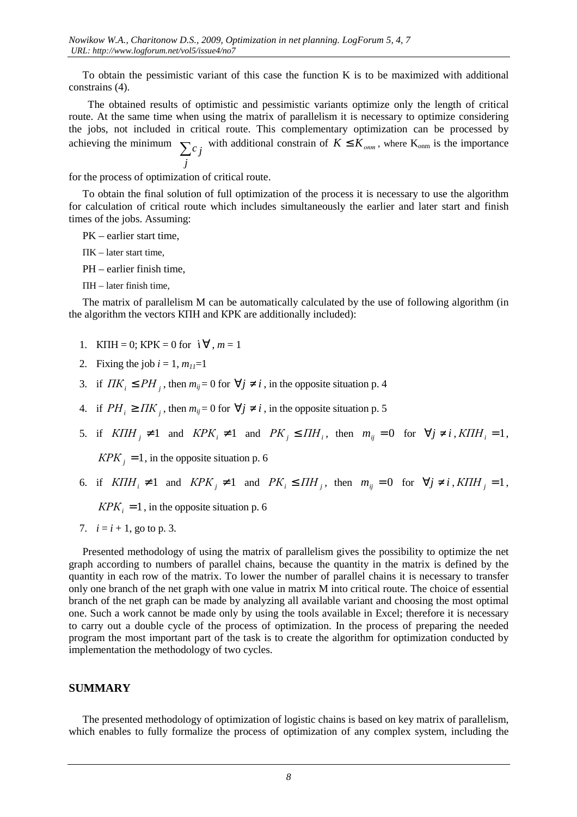To obtain the pessimistic variant of this case the function K is to be maximized with additional constrains (4).

 The obtained results of optimistic and pessimistic variants optimize only the length of critical route. At the same time when using the matrix of parallelism it is necessary to optimize considering the jobs, not included in critical route. This complementary optimization can be processed by achieving the minimum  $\sum c_j$  with additional constrain of  $K \leq K_{\text{onm}}$ , where  $K_{\text{onm}}$  is the importance *j*

for the process of optimization of critical route.

To obtain the final solution of full optimization of the process it is necessary to use the algorithm for calculation of critical route which includes simultaneously the earlier and later start and finish times of the jobs. Assuming:

PK – earlier start time,

 $\Pi K -$  later start time.

PH – earlier finish time,

 $\Pi H -$  later finish time,

The matrix of parallelism M can be automatically calculated by the use of following algorithm (in the algorithm the vectors КПН and КРК are additionally included):

- 1. KIIH = 0; KPK = 0 for  $i \forall$ ,  $m = 1$
- 2. Fixing the job  $i = 1$ ,  $m_{11} = 1$
- 3. if  $\overline{IJK}_i \leq \overline{PH}_j$ , then  $m_{ij} = 0$  for  $\forall j \neq i$ , in the opposite situation p. 4
- 4. if  $PH_i \geq HK_j$ , then  $m_{ij} = 0$  for  $\forall j \neq i$ , in the opposite situation p. 5
- 5. if  $K\Pi H_j \neq 1$  and  $K\Gamma K_i \neq 1$  and  $\Gamma K_j \leq \Pi H_i$ , then  $m_{ij} = 0$  for  $\forall j \neq i$ ,  $K\Pi H_i = 1$ ,

 $KPK<sub>j</sub> = 1$ , in the opposite situation p. 6

6. if  $K\Pi H_i \neq 1$  and  $K\overline{PK}_j \neq 1$  and  $\overline{PK}_i \leq \overline{I} H_j$ , then  $m_{ij} = 0$  for  $\forall j \neq i$ ,  $K\Pi H_j = 1$ ,

 $KPK<sub>i</sub> = 1$ , in the opposite situation p. 6

7.  $i = i + 1$ , go to p. 3.

Presented methodology of using the matrix of parallelism gives the possibility to optimize the net graph according to numbers of parallel chains, because the quantity in the matrix is defined by the quantity in each row of the matrix. To lower the number of parallel chains it is necessary to transfer only one branch of the net graph with one value in matrix M into critical route. The choice of essential branch of the net graph can be made by analyzing all available variant and choosing the most optimal one. Such a work cannot be made only by using the tools available in Excel; therefore it is necessary to carry out a double cycle of the process of optimization. In the process of preparing the needed program the most important part of the task is to create the algorithm for optimization conducted by implementation the methodology of two cycles.

#### **SUMMARY**

The presented methodology of optimization of logistic chains is based on key matrix of parallelism, which enables to fully formalize the process of optimization of any complex system, including the